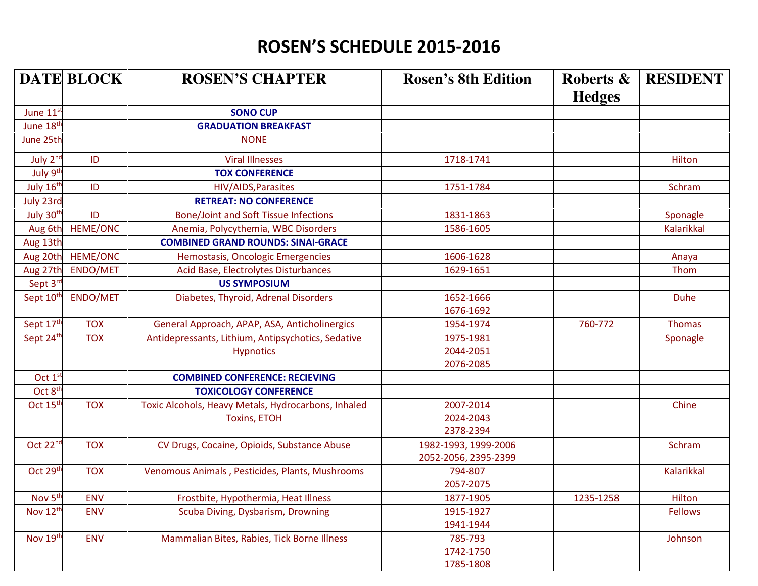## ROSEN'S SCHEDULE 2015-2016

|                       | <b>DATE BLOCK</b> | <b>ROSEN'S CHAPTER</b>                              | <b>Rosen's 8th Edition</b> | Roberts &<br><b>Hedges</b> | <b>RESIDENT</b>   |
|-----------------------|-------------------|-----------------------------------------------------|----------------------------|----------------------------|-------------------|
| June 11st             |                   | <b>SONO CUP</b>                                     |                            |                            |                   |
| June 18th             |                   | <b>GRADUATION BREAKFAST</b>                         |                            |                            |                   |
| June 25th             |                   | <b>NONE</b>                                         |                            |                            |                   |
| July 2nd              | ID                | <b>Viral Illnesses</b>                              | 1718-1741                  |                            | Hilton            |
| July 9 <sup>th</sup>  |                   | <b>TOX CONFERENCE</b>                               |                            |                            |                   |
| July 16th             | ID                | HIV/AIDS, Parasites                                 | 1751-1784                  |                            | Schram            |
| July 23rd             |                   | <b>RETREAT: NO CONFERENCE</b>                       |                            |                            |                   |
| July 30th             | ID                | <b>Bone/Joint and Soft Tissue Infections</b>        | 1831-1863                  |                            | Sponagle          |
| Aug 6th               | <b>HEME/ONC</b>   | Anemia, Polycythemia, WBC Disorders                 | 1586-1605                  |                            | <b>Kalarikkal</b> |
| Aug 13th              |                   | <b>COMBINED GRAND ROUNDS: SINAI-GRACE</b>           |                            |                            |                   |
| Aug 20th              | <b>HEME/ONC</b>   | Hemostasis, Oncologic Emergencies                   | 1606-1628                  |                            | Anaya             |
| Aug 27th              | ENDO/MET          | Acid Base, Electrolytes Disturbances                | 1629-1651                  |                            | Thom              |
| Sept 3rd              |                   | <b>US SYMPOSIUM</b>                                 |                            |                            |                   |
| Sept 10 <sup>th</sup> | ENDO/MET          | Diabetes, Thyroid, Adrenal Disorders                | 1652-1666                  |                            | <b>Duhe</b>       |
|                       |                   |                                                     | 1676-1692                  |                            |                   |
| Sept 17th             | <b>TOX</b>        | General Approach, APAP, ASA, Anticholinergics       | 1954-1974                  | 760-772                    | <b>Thomas</b>     |
| Sept 24th             | <b>TOX</b>        | Antidepressants, Lithium, Antipsychotics, Sedative  | 1975-1981                  |                            | Sponagle          |
|                       |                   | <b>Hypnotics</b>                                    | 2044-2051                  |                            |                   |
|                       |                   |                                                     | 2076-2085                  |                            |                   |
| Oct 1 <sup>st</sup>   |                   | <b>COMBINED CONFERENCE: RECIEVING</b>               |                            |                            |                   |
| Oct 8 <sup>th</sup>   |                   | <b>TOXICOLOGY CONFERENCE</b>                        |                            |                            |                   |
| Oct 15 <sup>th</sup>  | <b>TOX</b>        | Toxic Alcohols, Heavy Metals, Hydrocarbons, Inhaled | 2007-2014                  |                            | Chine             |
|                       |                   | <b>Toxins, ETOH</b>                                 | 2024-2043                  |                            |                   |
|                       |                   |                                                     | 2378-2394                  |                            |                   |
| Oct 22nd              | <b>TOX</b>        | CV Drugs, Cocaine, Opioids, Substance Abuse         | 1982-1993, 1999-2006       |                            | Schram            |
|                       |                   |                                                     | 2052-2056, 2395-2399       |                            |                   |
| Oct 29th              | <b>TOX</b>        | Venomous Animals, Pesticides, Plants, Mushrooms     | 794-807                    |                            | <b>Kalarikkal</b> |
|                       |                   |                                                     | 2057-2075                  |                            |                   |
| Nov 5 <sup>th</sup>   | <b>ENV</b>        | Frostbite, Hypothermia, Heat Illness                | 1877-1905                  | 1235-1258                  | Hilton            |
| Nov 12th              | <b>ENV</b>        | Scuba Diving, Dysbarism, Drowning                   | 1915-1927                  |                            | <b>Fellows</b>    |
|                       |                   |                                                     | 1941-1944                  |                            |                   |
| Nov 19th              | <b>ENV</b>        | Mammalian Bites, Rabies, Tick Borne Illness         | 785-793                    |                            | Johnson           |
|                       |                   |                                                     | 1742-1750                  |                            |                   |
|                       |                   |                                                     | 1785-1808                  |                            |                   |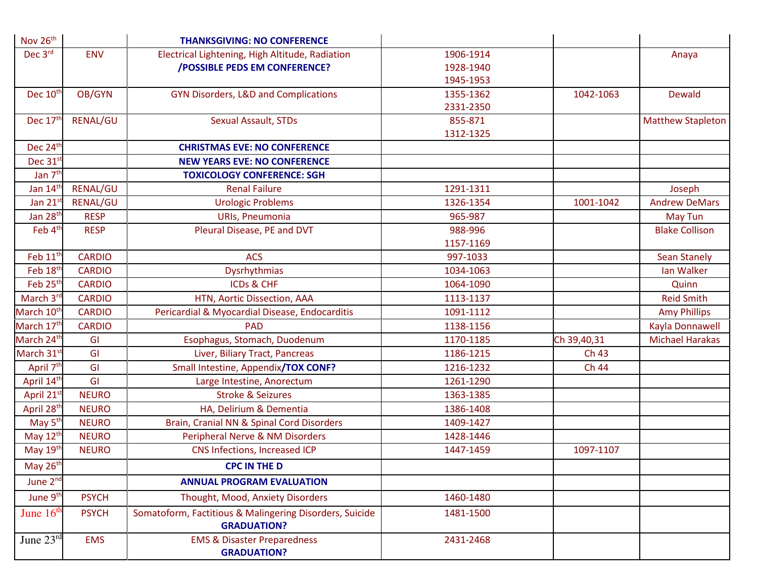| Nov 26 <sup>th</sup>   |                 | <b>THANKSGIVING: NO CONFERENCE</b>                                            |           |             |                          |
|------------------------|-----------------|-------------------------------------------------------------------------------|-----------|-------------|--------------------------|
| Dec 3rd                | <b>ENV</b>      | Electrical Lightening, High Altitude, Radiation                               | 1906-1914 |             | Anaya                    |
|                        |                 | <b>/POSSIBLE PEDS EM CONFERENCE?</b>                                          | 1928-1940 |             |                          |
|                        |                 |                                                                               | 1945-1953 |             |                          |
| Dec 10 <sup>th</sup>   | OB/GYN          | <b>GYN Disorders, L&amp;D and Complications</b>                               | 1355-1362 | 1042-1063   | Dewald                   |
|                        |                 |                                                                               | 2331-2350 |             |                          |
| Dec 17th               | <b>RENAL/GU</b> | <b>Sexual Assault, STDs</b>                                                   | 855-871   |             | <b>Matthew Stapleton</b> |
|                        |                 |                                                                               | 1312-1325 |             |                          |
| Dec 24 <sup>th</sup>   |                 | <b>CHRISTMAS EVE: NO CONFERENCE</b>                                           |           |             |                          |
| Dec 31 <sup>st</sup>   |                 | <b>NEW YEARS EVE: NO CONFERENCE</b>                                           |           |             |                          |
| Jan 7 <sup>th</sup>    |                 | <b>TOXICOLOGY CONFERENCE: SGH</b>                                             |           |             |                          |
| Jan 14 <sup>th</sup>   | <b>RENAL/GU</b> | <b>Renal Failure</b>                                                          | 1291-1311 |             | Joseph                   |
| Jan 21 <sup>s</sup>    | RENAL/GU        | <b>Urologic Problems</b>                                                      | 1326-1354 | 1001-1042   | <b>Andrew DeMars</b>     |
| Jan 28 <sup>th</sup>   | <b>RESP</b>     | URIs, Pneumonia                                                               | 965-987   |             | <b>May Tun</b>           |
| Feb 4 <sup>th</sup>    | <b>RESP</b>     | Pleural Disease, PE and DVT                                                   | 988-996   |             | <b>Blake Collison</b>    |
|                        |                 |                                                                               | 1157-1169 |             |                          |
| Feb 11 <sup>th</sup>   | <b>CARDIO</b>   | <b>ACS</b>                                                                    | 997-1033  |             | <b>Sean Stanely</b>      |
| Feb 18th               | <b>CARDIO</b>   | Dysrhythmias                                                                  | 1034-1063 |             | Ian Walker               |
| Feb 25 <sup>th</sup>   | <b>CARDIO</b>   | <b>ICDs &amp; CHF</b>                                                         | 1064-1090 |             | Quinn                    |
| March 3rd              | <b>CARDIO</b>   | HTN, Aortic Dissection, AAA                                                   | 1113-1137 |             | <b>Reid Smith</b>        |
| March 10 <sup>th</sup> | <b>CARDIO</b>   | Pericardial & Myocardial Disease, Endocarditis                                | 1091-1112 |             | <b>Amy Phillips</b>      |
| March 17 <sup>th</sup> | <b>CARDIO</b>   | <b>PAD</b>                                                                    | 1138-1156 |             | Kayla Donnawell          |
| March 24 <sup>th</sup> | GI              | Esophagus, Stomach, Duodenum                                                  | 1170-1185 | Ch 39,40,31 | <b>Michael Harakas</b>   |
| March 31 <sup>st</sup> | GI              | Liver, Biliary Tract, Pancreas                                                | 1186-1215 | Ch 43       |                          |
| April 7 <sup>th</sup>  | GI              | Small Intestine, Appendix/TOX CONF?                                           | 1216-1232 | Ch 44       |                          |
| April 14th             | GI              | Large Intestine, Anorectum                                                    | 1261-1290 |             |                          |
| April 21st             | <b>NEURO</b>    | <b>Stroke &amp; Seizures</b>                                                  | 1363-1385 |             |                          |
| April 28th             | <b>NEURO</b>    | HA, Delirium & Dementia                                                       | 1386-1408 |             |                          |
| May 5 <sup>th</sup>    | <b>NEURO</b>    | Brain, Cranial NN & Spinal Cord Disorders                                     | 1409-1427 |             |                          |
| May 12 <sup>th</sup>   | <b>NEURO</b>    | Peripheral Nerve & NM Disorders                                               | 1428-1446 |             |                          |
| May 19th               | <b>NEURO</b>    | CNS Infections, Increased ICP                                                 | 1447-1459 | 1097-1107   |                          |
| May 26th               |                 | <b>CPC IN THE D</b>                                                           |           |             |                          |
| June 2 <sup>nd</sup>   |                 | <b>ANNUAL PROGRAM EVALUATION</b>                                              |           |             |                          |
| June 9 <sup>th</sup>   | <b>PSYCH</b>    | Thought, Mood, Anxiety Disorders                                              | 1460-1480 |             |                          |
| June $16th$            | <b>PSYCH</b>    | Somatoform, Factitious & Malingering Disorders, Suicide<br><b>GRADUATION?</b> | 1481-1500 |             |                          |
| June $23rd$            | <b>EMS</b>      | <b>EMS &amp; Disaster Preparedness</b><br><b>GRADUATION?</b>                  | 2431-2468 |             |                          |